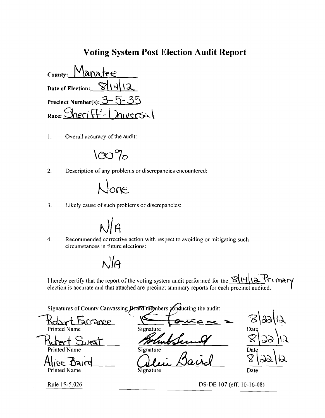### **Voting System Post Election Audit Report**

ana حاجة County: **Date of Election:** Precinct Number(s):  $3$ INERSAL Race:

 $\overline{1}$ . Overall accuracy of the audit:

 $100\%$ 

 $\overline{2}$ . Description of any problems or discrepancies encountered:



 $3.$ Likely cause of such problems or discrepancies:



 $\overline{4}$ . Recommended corrective action with respect to avoiding or mitigating such circumstances in future elections:

 $\frac{1}{4}$ 

I hereby certify that the report of the voting system audit performed for the  $\mathcal{S}(\vert \cdot \vert)$   $\downarrow$   $\uparrow$   $\uparrow$   $\uparrow$   $\uparrow$   $\uparrow$   $\uparrow$   $\uparrow$   $\uparrow$   $\uparrow$   $\uparrow$   $\uparrow$   $\uparrow$   $\uparrow$   $\uparrow$   $\uparrow$   $\uparrow$   $\uparrow$   $\uparrow$   $\uparrow$   $\uparrow$  election is accurate and that attached are precinct summary reports for each precinct audited.

Signatures of County Canvassing Board members conducting the audit:

Kolrer1 tarrame **Printed Name** 



JJaire ue.

**Printed Name** 

Rule 1S-5.026

Z Signature Date Signature Date

Signature

 $\log$ 

Date

DS-DE 107 (eff. 10-16-08)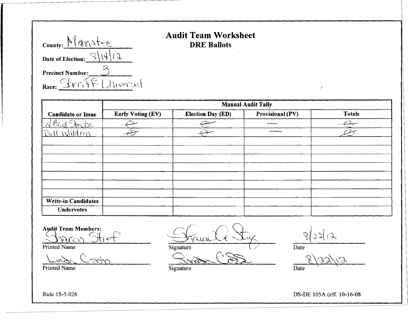| County: Manatee                                                     |
|---------------------------------------------------------------------|
| Date of Election: $\mathbb{S}\backslash\setminus\setminus\setminus$ |
| <b>Precinct Number:</b>                                             |
| Race: Streiff Universal                                             |

### Audit Team Worksheet DRE Ballots

|                                                   |                          |                          | <b>Manual Audit Tally</b> |               |
|---------------------------------------------------|--------------------------|--------------------------|---------------------------|---------------|
| <b>Candidate or Issue</b>                         | <b>Early Voting (EV)</b> | <b>Election Day (ED)</b> | <b>Provisional (PV)</b>   | <b>Totals</b> |
| W Brud Steppe                                     |                          |                          |                           |               |
| Waldren<br>$P_{\mathcal{M}}$                      | تتقم                     |                          |                           |               |
|                                                   |                          |                          |                           |               |
|                                                   |                          |                          |                           |               |
|                                                   |                          |                          |                           |               |
|                                                   |                          |                          |                           |               |
|                                                   |                          |                          |                           |               |
|                                                   |                          |                          |                           |               |
|                                                   |                          |                          |                           |               |
| <b>Write-in Candidates</b>                        |                          |                          |                           |               |
| <b>Undervotes</b>                                 |                          |                          |                           |               |
| <b>Audit Team Members:</b><br>はにい<br>Printed Name |                          | <b>Signature</b>         | $\int_0^1$                |               |

Audit Team Members:

L'''''~t\_\_\_\_ C,-S"O"o Q.

Printed Name Date Date Signature Date

Printed Name . Saint-State . Second Law Signature . Second Signature . Second Date . Date

 $\mathcal{L}^{\mathcal{L}}$ 

--"'~~--~ r\~ .~\<):':A~\'~ 1 - - \

Rule IS-5.026 DS-DE 105A (eff. 10-16-08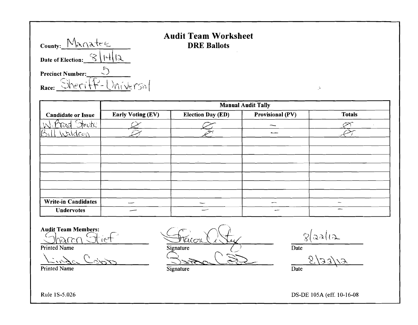| County: Manatee                |
|--------------------------------|
| Date of Election: $\Im$     4. |
| <b>Precinct Number:</b>        |
| Sheriff-Universal<br>Race:     |

## **Audit Team Worksheet**   $DRE$  Ballots

|                                      |                          |                          | <b>Manual Audit Tally</b> |                          |
|--------------------------------------|--------------------------|--------------------------|---------------------------|--------------------------|
| <b>Candidate or Issue</b>            | <b>Early Voting (EV)</b> | <b>Election Day (ED)</b> | <b>Provisional (PV)</b>   | <b>Totals</b>            |
| teate.                               |                          |                          |                           |                          |
| $\overline{\mathfrak{G}}$<br>Naldron | $\pi$                    | $\propto$                |                           |                          |
|                                      |                          |                          |                           |                          |
|                                      |                          |                          |                           |                          |
|                                      |                          |                          |                           |                          |
|                                      |                          |                          |                           |                          |
|                                      |                          |                          |                           |                          |
|                                      |                          |                          |                           |                          |
|                                      |                          |                          |                           |                          |
| <b>Write-in Candidates</b>           |                          | --                       | -                         | ÷                        |
| <b>Undervotes</b>                    |                          | حسب                      | سعست                      | $\overline{\phantom{m}}$ |

**Audit Team Members:** 

harch Otiet

Printed Name

 $\overline{C}$ 

 $\overline{a}$ 

Printed Name

 $\sqrt{4}$  $\tau_{\alpha\varsigma\sigma\nu}$ Signature 3 mars (3) Signature (SD

 $\sqrt[3]{2a(12)}$ 

 $\mathcal{G}^{\mathcal{G}}$ 

Date

 $(6/3)$ Date

DS-DE 105A (eff. 10-16-08

Rule IS-5.026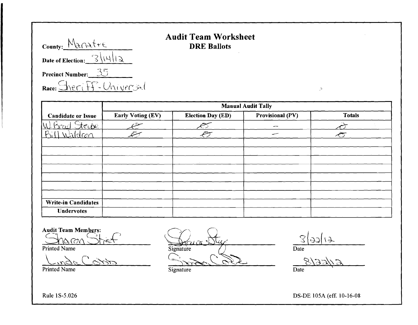| County: Manatre                          |
|------------------------------------------|
| Date of Election: $\sqrt{ \mathcal{A} }$ |
| <b>Precinct Number:</b> $35$             |
| Race: Sheriff-Universal                  |

### **Audit Team Worksheet**  DRE Ballots

|                                             |                          |                          | <b>Manual Audit Tally</b> |                |
|---------------------------------------------|--------------------------|--------------------------|---------------------------|----------------|
| <b>Candidate or Issue</b>                   | <b>Early Voting (EV)</b> | <b>Election Day (ED)</b> | Provisional (PV)          | <b>Totals</b>  |
| teube.<br>$ \overline{\mathcal{N}} $<br>VAC |                          |                          | $\sim$                    |                |
| $(R_i)^t$<br><u>Waldran</u>                 |                          | يتطمه                    | سىد                       | $\hat{\sigma}$ |
|                                             |                          |                          |                           |                |
|                                             |                          |                          |                           |                |
|                                             |                          |                          |                           |                |
|                                             |                          |                          |                           |                |
|                                             |                          |                          |                           |                |
|                                             |                          |                          |                           |                |
|                                             |                          |                          |                           |                |
| <b>Write-in Candidates</b>                  |                          |                          |                           |                |
| <b>Undervotes</b>                           |                          |                          |                           |                |

Audit Team Members:<br>State of *I* 

Printed Name

 $\frac{S(s)}{s}$  (3 )  $\frac{14}{s}$ Printed Name Signature Date Date Date Date Development of  $\frac{S(\text{g})}{\text{g}}$   $\frac{S(\text{g})}{\text{h}}$ 

 $\mathcal{G}$ 

Rule IS-5.026 DS-DE 105A (eff. 10-16-08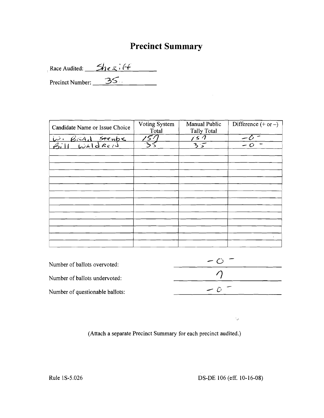### **Precinct Summary**

Race Audited:  $\frac{\mathcal{L}_1 \cdot \mathcal{L}_2 \cdot \mathcal{L}_3 \cdot \mathcal{L}_4}{\mathcal{L}_3 \cdot \mathcal{L}_5 \cdot \mathcal{L}_6}$ *3* <sup>r</sup>Precinct Number: \_----':::....-....:::>\_. - \_' \_

Candidate Name or Issue Choice Voting System Manual Public Difference  $(+ or -)$ Total Tally Total I Total Tally Total<br>W. Bread <del>Stenbe</del> 157 157 -0  $\frac{157}{35}$   $\frac{157}{35}$   $\frac{-0}{-0}$  $B$ ill *Wald Reis*  $\mathbf{r}$ 

| Number of ballots overvoted:    | $\sim$ ( ) |
|---------------------------------|------------|
| Number of ballots undervoted:   |            |
| Number of questionable ballots: | ز است      |

(Attach a separate Precinct Summary for each precinct audited.)

Rule 1S-5.026 DS-DE 106 (eff. 10-16-08)

 $\epsilon_{\rm av}$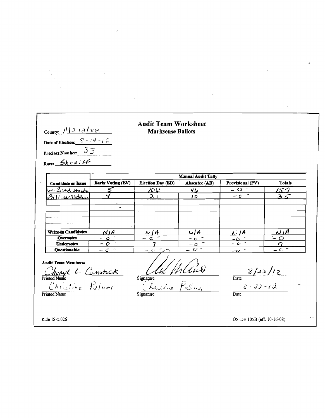County: Monatee

Precinct Number:  $\frac{35}{3}$ 

Race: Sheritt

Date of Election:  $S - (4 - i)$ 

#### **Audit Team Worksheet Marksense Ballots**

**Manual Audit Tally Early Voting (EV) Election Day (ED)** Absentee (AB) Provisional (PV) **Totals Candidate or Issue** W. Bigd step  $\overline{\mathcal{S}}$  $\frac{1}{2}$ てっ  $\gamma_L$  $-\frac{1}{2}$  $311$   $W31$ decre Ч  $\overline{a}$  $10<sup>2</sup>$  $3 <$ Write-in Candidates  $\overline{N}$ *IA*  $NIA$  $L/A$ <u> N | A</u>  $NIA$ Overvotes  $\sim$   $\circ$  $-$  c  $\mathbf{C}$  $-c$ **Undervotes**  $\overline{\phantom{0}}$  $\sim$   $\star$  $\ddot{\mathbf{C}}$  $\boldsymbol{\eta}$  $-c$ **Ouestionable**  $\overline{\phantom{a}}$  $\overline{O}$  - $-C<sub>1</sub>$ - 6 و نا سه

**Andit Team Members:** 

Printed Name<br>Printed Name<br>Christine Palmer

Mund Signature Poling

 $\frac{8}{2}$  /23/12  $\frac{S - 2J - \ell \mathcal{L}}{\text{Date}}$ 

Rule 1S-5.026

DS-DE 105B (eff. 10-16-08)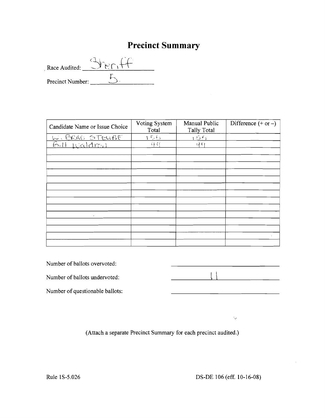## **Precinct Summary**

Race Audited: Precinct Number:  $\overline{\phantom{a}}$  $-5$ 

| Candidate Name or Issue Choice        | Voting System<br>Total | Manual Public<br><b>Tally Total</b> | Difference $(+ or -)$ |
|---------------------------------------|------------------------|-------------------------------------|-----------------------|
|                                       | 155                    | 155                                 |                       |
| <u>w. BRAD STEUBE</u><br>Bill Waldmai | 과 어                    | $\nu$ -G                            |                       |
|                                       |                        |                                     |                       |
|                                       |                        |                                     |                       |
|                                       |                        |                                     |                       |
|                                       |                        |                                     |                       |
|                                       |                        |                                     |                       |
|                                       |                        |                                     |                       |
|                                       |                        |                                     |                       |
|                                       |                        |                                     |                       |
|                                       |                        |                                     |                       |
| $\bullet$                             |                        |                                     |                       |
|                                       |                        |                                     |                       |
|                                       |                        |                                     |                       |
|                                       |                        |                                     |                       |
|                                       |                        |                                     |                       |

Number of ballots overvoted:

Number of ballots undervoted:



 $\zeta_{\rm{p}}$ 

Number of questionable ballots:

(Attach a separate Precinct Summary for each precinct audited.)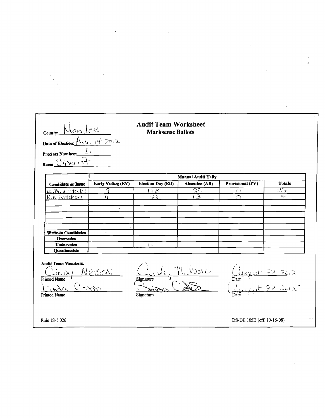| County:<br>Date of Election: Aug. 14 2012<br>Precinct Number:<br>Race: Sizeri |                          | <b>Audit Team Worksheet</b><br><b>Marksense Ballots</b> |                           |                  |               |
|-------------------------------------------------------------------------------|--------------------------|---------------------------------------------------------|---------------------------|------------------|---------------|
|                                                                               |                          |                                                         | <b>Manual Audit Tally</b> |                  |               |
| <b>Candidate or Issue</b>                                                     | <b>Early Voting (EV)</b> | Election Day (ED)                                       | Absentee (AB)             | Provisional (PV) | <b>Totals</b> |
| <u>W. Bud Struke</u>                                                          | О                        | いど                                                      | 35<br>$\overline{13}$     | O                | 155           |
| $6.11$ $k$ alc $m$                                                            | ä,                       |                                                         |                           |                  |               |
| <b>Write-in Candidates</b>                                                    | $\bullet$                |                                                         |                           |                  |               |
| <b>Overvotes</b><br><b>Undervotes</b>                                         |                          |                                                         |                           |                  |               |
| Questionable                                                                  |                          | Ħ                                                       |                           |                  |               |
| <b>Audit Team Members:</b><br>iNN)<br>Printed Name<br>Printed Name            | VelscN                   | Signature<br>Signature                                  | VəzriO                    | Date             |               |

 $\label{eq:2.1} \frac{1}{2} \sum_{i=1}^n \frac{1}{2} \sum_{j=1}^n \frac{1}{2} \sum_{j=1}^n \frac{1}{2} \sum_{j=1}^n \frac{1}{2} \sum_{j=1}^n \frac{1}{2} \sum_{j=1}^n \frac{1}{2} \sum_{j=1}^n \frac{1}{2} \sum_{j=1}^n \frac{1}{2} \sum_{j=1}^n \frac{1}{2} \sum_{j=1}^n \frac{1}{2} \sum_{j=1}^n \frac{1}{2} \sum_{j=1}^n \frac{1}{2} \sum_{j=1}^n \frac{$ 

 $\hat{\mathcal{L}}$ 

 $\mathcal{L}^{\text{max}}_{\text{max}}$  and  $\mathcal{L}^{\text{max}}_{\text{max}}$ 

 $\sim$   $\sim$ 

 $\label{eq:2.1} \mathcal{L}(\mathcal{L}^{\text{max}}_{\mathcal{L}}(\mathcal{L}^{\text{max}}_{\mathcal{L}}(\mathcal{L}^{\text{max}}_{\mathcal{L}}(\mathcal{L}^{\text{max}}_{\mathcal{L}^{\text{max}}_{\mathcal{L}}(\mathcal{L}^{\text{max}}_{\mathcal{L}^{\text{max}}_{\mathcal{L}^{\text{max}}_{\mathcal{L}^{\text{max}}_{\mathcal{L}^{\text{max}}_{\mathcal{L}^{\text{max}}_{\mathcal{L}^{\text{max}}_{\mathcal{L}^{\text{max}}_{\mathcal{L}^{\text{max}}$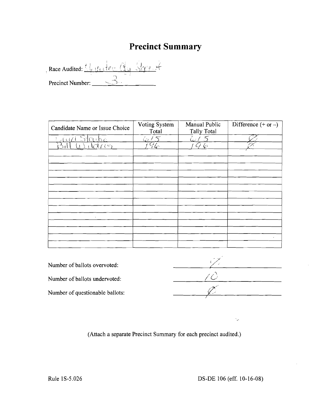# **Precinct** Summary

Race Audited: <u>We stee Cly Slave</u> Precinct Number: \_

| Candidate Name or Issue Choice | Voting System<br>Total                          | Manual Public<br>Tally Total | Difference $(+ or -)$ |
|--------------------------------|-------------------------------------------------|------------------------------|-----------------------|
| <u>Licuid Steabe</u>           | 6/5                                             | ا دا                         |                       |
| $\mathcal{C}^{(r)}$            | $\widetilde{\mathcal{H}}_{\mathcal{L}^{\circ}}$ | -le                          |                       |
|                                |                                                 |                              |                       |
|                                |                                                 |                              |                       |
|                                |                                                 |                              |                       |
|                                |                                                 |                              |                       |
|                                |                                                 |                              |                       |
|                                |                                                 |                              |                       |
|                                |                                                 |                              |                       |
|                                |                                                 |                              |                       |
|                                |                                                 |                              |                       |
| $\cdot$                        |                                                 |                              |                       |
|                                |                                                 |                              |                       |
|                                |                                                 |                              |                       |
|                                |                                                 |                              | $\bullet$             |
|                                |                                                 |                              |                       |

**(Attach a separate Precinct Summary for each precinct audited.)** 

 $\cdot_{\varphi}$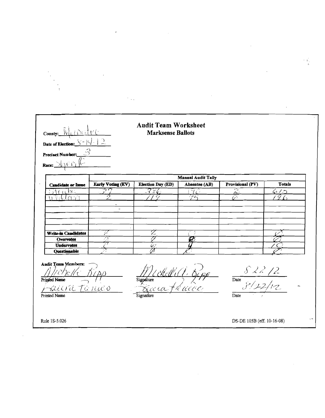| County: Wundeter<br>Date of Election: $S =  C  =  C $<br>Precinct Number:<br>Race: $\frac{\sum_{i=1}^{n}$    |                          | <b>Audit Team Worksheet</b><br><b>Marksense Ballots</b> |                           |                                             |                              |
|--------------------------------------------------------------------------------------------------------------|--------------------------|---------------------------------------------------------|---------------------------|---------------------------------------------|------------------------------|
|                                                                                                              |                          |                                                         | <b>Manual Audit Tally</b> |                                             |                              |
| <b>Candidate or Issue</b>                                                                                    | <b>Early Voting (EV)</b> | Election Day (ED)                                       | Absentee (AB)             | Provisional (PV)                            | <b>Totals</b>                |
| 1002<br>Vildrei                                                                                              |                          | $-356$                                                  |                           | ਨ<br><u>л.,</u><br>$\overline{\mathcal{O}}$ | 6 / O<br>$\vec{\mathcal{G}}$ |
|                                                                                                              |                          |                                                         |                           |                                             |                              |
| <b>Write-in Candidates</b>                                                                                   | أتعركه                   | Z                                                       |                           |                                             |                              |
| Overvotes                                                                                                    | Ø                        |                                                         |                           |                                             |                              |
| <b>Undervotes</b><br><b>Questionable</b>                                                                     |                          | W                                                       |                           |                                             |                              |
| <b>Audit Team Members:</b><br>$2\varepsilon/\!/\varepsilon$<br>Printed Name<br>suicra Tanico<br>Printed Name |                          | Signature<br>Eura férico<br>Signature                   | chell (1. 544             | $\frac{82212}{812212}$<br>Date<br>Date      |                              |

 $\sim$   $\sim$ 

 $\label{eq:2.1} \mathcal{L}(\mathcal{L}^{\text{max}}_{\mathcal{L}}(\mathcal{L}^{\text{max}}_{\mathcal{L}}),\mathcal{L}^{\text{max}}_{\mathcal{L}}(\mathcal{L}^{\text{max}}_{\mathcal{L}}))$ 

 $\mathcal{L}^{(1)}$  .

 $\label{eq:2.1} \mathcal{L}(\mathcal{L}) = \mathcal{L}(\mathcal{L}) = \mathcal{L}(\mathcal{L}) = \mathcal{L}(\mathcal{L}) = \mathcal{L}(\mathcal{L}) = \mathcal{L}(\mathcal{L})$ 

 $\mathcal{O}(10^{10})$ 

 $\hat{\mathcal{F}}$ 

 $\sim$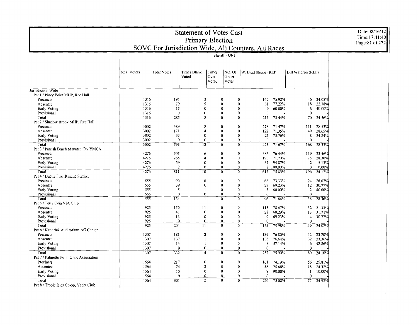| <b>Primary Election</b><br>SOVC For Jurisdiction Wide, All Counters, All Races<br>Sheriff - UNI<br><b>Total Votes</b><br>Times Blank<br>NO. Of<br>W. Brad Steube (REP)<br>Bill Waldron (REP)<br>Reg. Voters<br>Times<br>Voted<br>Over<br>Under<br>Votes<br>Voted<br>Jurisdiction Wide<br>Pct 1 / Piney Point MHP, Rec Hall<br>1316<br>191<br>$\overline{\mathbf{3}}$<br>75.92%<br>Precincts<br>0<br>$\bf{0}$<br>145<br>46<br>24.08%<br>1316<br>79<br>5<br>$\bf{0}$<br>$\bf{0}$<br>77.22%<br>18<br>22.78%<br>Absentee<br>61<br>1316<br>15<br>$\mathbf{0}$<br>$\bf{0}$<br>$\bf{0}$<br>9<br>60.00%<br>40.00%<br>Early Voting<br>6<br>1316<br>$\bf{0}$<br>$\theta$<br>$\bf{0}$<br>$\mathbf 0$<br>Provisional<br>$\Omega$<br>$\Omega$<br>285<br>75.44%<br>24.56%<br>Total<br>1316<br>8<br>$\bf{0}$<br>$\bf{0}$<br>215<br>70<br>Pct 2 / Shadow Brook MHP, Rec Hall<br>3002<br>389<br>111<br>28.53%<br>Precincts<br>8<br>$\bf{0}$<br>$\mathbf{0}$<br>278<br>71.47%<br>3002<br>171<br>49<br>Absentce<br>$\boldsymbol{\Lambda}$<br>$\mathbf{0}$<br>$\bf{0}$<br>122<br>71.35%<br>28.65%<br>3002<br>33<br>8<br>Early Voting<br>$\bf{0}$<br>$\bf{0}$<br>$\bf{0}$<br>25<br>75.76%<br>24.24%<br>Provisional<br>3002<br>$\mathbf{0}$<br>$\overline{0}$<br>$\mathbf 0$<br>$\mathbf{0}$<br>$\bf{0}$<br>$\bf{0}$<br>593<br>$\overline{1}2$<br>28.33%<br>3002<br>$\bf{0}$<br>$\Omega$<br>425<br>71.67%<br>168<br>Total<br>Pct 3 / Parrish Brnch Manatee Cty YMCA<br>4276<br>Precincts<br>505<br>$\bf{0}$<br>$\bf{0}$<br>386<br>76.44%<br>119<br>23.56%<br>6<br>265<br>Absentee<br>4276<br>$\overline{4}$<br>$\mathbf 0$<br>$\overline{0}$<br>190<br>71.70%<br>75<br>28.30%<br>4276<br>39<br>$\overline{0}$<br>94.87%<br>$\overline{2}$<br>5.13%<br>Early Voting<br>$\bf{0}$<br>$\bf{0}$<br>37<br>4276<br>$\overline{2}$<br>$\bf{0}$<br>2 100.00%<br>$\theta$<br>0.00%<br>Provisional<br>$\theta$<br>0<br>10<br>4276<br>811<br>$\mathbf{0}$<br>$\overline{0}$<br>75.83%<br>24.17%<br>Total<br>615<br>196<br>Pct 4 / Duette Fire Rescue Station<br>Precincts<br>555<br>90<br>$\mathbf 0$<br>$\bf{0}$<br>$\mathbf 0$<br>73.33%<br>26.67%<br>66<br>24<br>555<br>39<br>$\bf{0}$<br>$\bf{0}$<br>$\bf{0}$<br>27<br>69.23%<br>12<br>30.77%<br>Absentee<br>555<br>5<br>$\overline{\mathbf{3}}$<br>60.00%<br>$\overline{2}$<br>40.00%<br><b>Early Voting</b><br>$\mathbf 0$<br>$\bf{0}$<br>1<br>555<br>Provisional<br>$\mathbf 0$<br>$\mathbf{0}$<br>$\overline{0}$<br>$\mathbf 0$<br>$\Omega$<br>$\theta$<br>$28.\overline{36\%}$<br>555<br>134<br>$\Omega$<br>$\mathbf{0}$<br>96<br>71.64%<br>38<br>Total<br>$\mathbf{I}$<br>Pct 5 / Terra Ceia VIA Club<br>925<br>150<br>$\overline{11}$<br>$\bf{0}$<br>$\bf{0}$<br>21.33%<br>Precincts<br>118<br>78.67%<br>32 <sub>2</sub><br>925<br>41<br>$\bf{0}$<br>$\bf{0}$<br>$\bf{0}$<br>68.29%<br>31.71%<br>Absentee<br>28<br>13<br>925<br>13<br>$\mathbf 0$<br>$\mathbf 0$<br>$\overline{9}$<br>$\bf{0}$<br>69.23%<br>30.77%<br>Early Voting<br>$\overline{\mathbf{4}}$<br>925<br>$\overline{0}$<br>Provisional<br>$\mathbf{0}$<br>$\Omega$<br>$\mathbf{0}$<br>$\mathbf{0}$<br>$\overline{0}$<br>925<br>204<br>$\overline{11}$<br>$\bf{0}$<br>24.02%<br>Total<br>$\bf{0}$<br>155<br>75.98%<br>49 | Time: 17:41:40 |
|-----------------------------------------------------------------------------------------------------------------------------------------------------------------------------------------------------------------------------------------------------------------------------------------------------------------------------------------------------------------------------------------------------------------------------------------------------------------------------------------------------------------------------------------------------------------------------------------------------------------------------------------------------------------------------------------------------------------------------------------------------------------------------------------------------------------------------------------------------------------------------------------------------------------------------------------------------------------------------------------------------------------------------------------------------------------------------------------------------------------------------------------------------------------------------------------------------------------------------------------------------------------------------------------------------------------------------------------------------------------------------------------------------------------------------------------------------------------------------------------------------------------------------------------------------------------------------------------------------------------------------------------------------------------------------------------------------------------------------------------------------------------------------------------------------------------------------------------------------------------------------------------------------------------------------------------------------------------------------------------------------------------------------------------------------------------------------------------------------------------------------------------------------------------------------------------------------------------------------------------------------------------------------------------------------------------------------------------------------------------------------------------------------------------------------------------------------------------------------------------------------------------------------------------------------------------------------------------------------------------------------------------------------------------------------------------------------------------------------------------------------------------------------------------------------------------------------------------------------------------------------------------------------------------------------------------------------------------------------------------------------------------------------------------------------------------------------------------------------------------------------------------------------------------------------------------------------------------|----------------|
|                                                                                                                                                                                                                                                                                                                                                                                                                                                                                                                                                                                                                                                                                                                                                                                                                                                                                                                                                                                                                                                                                                                                                                                                                                                                                                                                                                                                                                                                                                                                                                                                                                                                                                                                                                                                                                                                                                                                                                                                                                                                                                                                                                                                                                                                                                                                                                                                                                                                                                                                                                                                                                                                                                                                                                                                                                                                                                                                                                                                                                                                                                                                                                                                                 | Page:81 of 272 |
|                                                                                                                                                                                                                                                                                                                                                                                                                                                                                                                                                                                                                                                                                                                                                                                                                                                                                                                                                                                                                                                                                                                                                                                                                                                                                                                                                                                                                                                                                                                                                                                                                                                                                                                                                                                                                                                                                                                                                                                                                                                                                                                                                                                                                                                                                                                                                                                                                                                                                                                                                                                                                                                                                                                                                                                                                                                                                                                                                                                                                                                                                                                                                                                                                 |                |
|                                                                                                                                                                                                                                                                                                                                                                                                                                                                                                                                                                                                                                                                                                                                                                                                                                                                                                                                                                                                                                                                                                                                                                                                                                                                                                                                                                                                                                                                                                                                                                                                                                                                                                                                                                                                                                                                                                                                                                                                                                                                                                                                                                                                                                                                                                                                                                                                                                                                                                                                                                                                                                                                                                                                                                                                                                                                                                                                                                                                                                                                                                                                                                                                                 |                |
|                                                                                                                                                                                                                                                                                                                                                                                                                                                                                                                                                                                                                                                                                                                                                                                                                                                                                                                                                                                                                                                                                                                                                                                                                                                                                                                                                                                                                                                                                                                                                                                                                                                                                                                                                                                                                                                                                                                                                                                                                                                                                                                                                                                                                                                                                                                                                                                                                                                                                                                                                                                                                                                                                                                                                                                                                                                                                                                                                                                                                                                                                                                                                                                                                 |                |
|                                                                                                                                                                                                                                                                                                                                                                                                                                                                                                                                                                                                                                                                                                                                                                                                                                                                                                                                                                                                                                                                                                                                                                                                                                                                                                                                                                                                                                                                                                                                                                                                                                                                                                                                                                                                                                                                                                                                                                                                                                                                                                                                                                                                                                                                                                                                                                                                                                                                                                                                                                                                                                                                                                                                                                                                                                                                                                                                                                                                                                                                                                                                                                                                                 |                |
|                                                                                                                                                                                                                                                                                                                                                                                                                                                                                                                                                                                                                                                                                                                                                                                                                                                                                                                                                                                                                                                                                                                                                                                                                                                                                                                                                                                                                                                                                                                                                                                                                                                                                                                                                                                                                                                                                                                                                                                                                                                                                                                                                                                                                                                                                                                                                                                                                                                                                                                                                                                                                                                                                                                                                                                                                                                                                                                                                                                                                                                                                                                                                                                                                 |                |
|                                                                                                                                                                                                                                                                                                                                                                                                                                                                                                                                                                                                                                                                                                                                                                                                                                                                                                                                                                                                                                                                                                                                                                                                                                                                                                                                                                                                                                                                                                                                                                                                                                                                                                                                                                                                                                                                                                                                                                                                                                                                                                                                                                                                                                                                                                                                                                                                                                                                                                                                                                                                                                                                                                                                                                                                                                                                                                                                                                                                                                                                                                                                                                                                                 |                |
|                                                                                                                                                                                                                                                                                                                                                                                                                                                                                                                                                                                                                                                                                                                                                                                                                                                                                                                                                                                                                                                                                                                                                                                                                                                                                                                                                                                                                                                                                                                                                                                                                                                                                                                                                                                                                                                                                                                                                                                                                                                                                                                                                                                                                                                                                                                                                                                                                                                                                                                                                                                                                                                                                                                                                                                                                                                                                                                                                                                                                                                                                                                                                                                                                 |                |
|                                                                                                                                                                                                                                                                                                                                                                                                                                                                                                                                                                                                                                                                                                                                                                                                                                                                                                                                                                                                                                                                                                                                                                                                                                                                                                                                                                                                                                                                                                                                                                                                                                                                                                                                                                                                                                                                                                                                                                                                                                                                                                                                                                                                                                                                                                                                                                                                                                                                                                                                                                                                                                                                                                                                                                                                                                                                                                                                                                                                                                                                                                                                                                                                                 |                |
|                                                                                                                                                                                                                                                                                                                                                                                                                                                                                                                                                                                                                                                                                                                                                                                                                                                                                                                                                                                                                                                                                                                                                                                                                                                                                                                                                                                                                                                                                                                                                                                                                                                                                                                                                                                                                                                                                                                                                                                                                                                                                                                                                                                                                                                                                                                                                                                                                                                                                                                                                                                                                                                                                                                                                                                                                                                                                                                                                                                                                                                                                                                                                                                                                 |                |
|                                                                                                                                                                                                                                                                                                                                                                                                                                                                                                                                                                                                                                                                                                                                                                                                                                                                                                                                                                                                                                                                                                                                                                                                                                                                                                                                                                                                                                                                                                                                                                                                                                                                                                                                                                                                                                                                                                                                                                                                                                                                                                                                                                                                                                                                                                                                                                                                                                                                                                                                                                                                                                                                                                                                                                                                                                                                                                                                                                                                                                                                                                                                                                                                                 |                |
|                                                                                                                                                                                                                                                                                                                                                                                                                                                                                                                                                                                                                                                                                                                                                                                                                                                                                                                                                                                                                                                                                                                                                                                                                                                                                                                                                                                                                                                                                                                                                                                                                                                                                                                                                                                                                                                                                                                                                                                                                                                                                                                                                                                                                                                                                                                                                                                                                                                                                                                                                                                                                                                                                                                                                                                                                                                                                                                                                                                                                                                                                                                                                                                                                 |                |
|                                                                                                                                                                                                                                                                                                                                                                                                                                                                                                                                                                                                                                                                                                                                                                                                                                                                                                                                                                                                                                                                                                                                                                                                                                                                                                                                                                                                                                                                                                                                                                                                                                                                                                                                                                                                                                                                                                                                                                                                                                                                                                                                                                                                                                                                                                                                                                                                                                                                                                                                                                                                                                                                                                                                                                                                                                                                                                                                                                                                                                                                                                                                                                                                                 |                |
|                                                                                                                                                                                                                                                                                                                                                                                                                                                                                                                                                                                                                                                                                                                                                                                                                                                                                                                                                                                                                                                                                                                                                                                                                                                                                                                                                                                                                                                                                                                                                                                                                                                                                                                                                                                                                                                                                                                                                                                                                                                                                                                                                                                                                                                                                                                                                                                                                                                                                                                                                                                                                                                                                                                                                                                                                                                                                                                                                                                                                                                                                                                                                                                                                 |                |
|                                                                                                                                                                                                                                                                                                                                                                                                                                                                                                                                                                                                                                                                                                                                                                                                                                                                                                                                                                                                                                                                                                                                                                                                                                                                                                                                                                                                                                                                                                                                                                                                                                                                                                                                                                                                                                                                                                                                                                                                                                                                                                                                                                                                                                                                                                                                                                                                                                                                                                                                                                                                                                                                                                                                                                                                                                                                                                                                                                                                                                                                                                                                                                                                                 |                |
|                                                                                                                                                                                                                                                                                                                                                                                                                                                                                                                                                                                                                                                                                                                                                                                                                                                                                                                                                                                                                                                                                                                                                                                                                                                                                                                                                                                                                                                                                                                                                                                                                                                                                                                                                                                                                                                                                                                                                                                                                                                                                                                                                                                                                                                                                                                                                                                                                                                                                                                                                                                                                                                                                                                                                                                                                                                                                                                                                                                                                                                                                                                                                                                                                 |                |
|                                                                                                                                                                                                                                                                                                                                                                                                                                                                                                                                                                                                                                                                                                                                                                                                                                                                                                                                                                                                                                                                                                                                                                                                                                                                                                                                                                                                                                                                                                                                                                                                                                                                                                                                                                                                                                                                                                                                                                                                                                                                                                                                                                                                                                                                                                                                                                                                                                                                                                                                                                                                                                                                                                                                                                                                                                                                                                                                                                                                                                                                                                                                                                                                                 |                |
|                                                                                                                                                                                                                                                                                                                                                                                                                                                                                                                                                                                                                                                                                                                                                                                                                                                                                                                                                                                                                                                                                                                                                                                                                                                                                                                                                                                                                                                                                                                                                                                                                                                                                                                                                                                                                                                                                                                                                                                                                                                                                                                                                                                                                                                                                                                                                                                                                                                                                                                                                                                                                                                                                                                                                                                                                                                                                                                                                                                                                                                                                                                                                                                                                 |                |
|                                                                                                                                                                                                                                                                                                                                                                                                                                                                                                                                                                                                                                                                                                                                                                                                                                                                                                                                                                                                                                                                                                                                                                                                                                                                                                                                                                                                                                                                                                                                                                                                                                                                                                                                                                                                                                                                                                                                                                                                                                                                                                                                                                                                                                                                                                                                                                                                                                                                                                                                                                                                                                                                                                                                                                                                                                                                                                                                                                                                                                                                                                                                                                                                                 |                |
|                                                                                                                                                                                                                                                                                                                                                                                                                                                                                                                                                                                                                                                                                                                                                                                                                                                                                                                                                                                                                                                                                                                                                                                                                                                                                                                                                                                                                                                                                                                                                                                                                                                                                                                                                                                                                                                                                                                                                                                                                                                                                                                                                                                                                                                                                                                                                                                                                                                                                                                                                                                                                                                                                                                                                                                                                                                                                                                                                                                                                                                                                                                                                                                                                 |                |
|                                                                                                                                                                                                                                                                                                                                                                                                                                                                                                                                                                                                                                                                                                                                                                                                                                                                                                                                                                                                                                                                                                                                                                                                                                                                                                                                                                                                                                                                                                                                                                                                                                                                                                                                                                                                                                                                                                                                                                                                                                                                                                                                                                                                                                                                                                                                                                                                                                                                                                                                                                                                                                                                                                                                                                                                                                                                                                                                                                                                                                                                                                                                                                                                                 |                |
|                                                                                                                                                                                                                                                                                                                                                                                                                                                                                                                                                                                                                                                                                                                                                                                                                                                                                                                                                                                                                                                                                                                                                                                                                                                                                                                                                                                                                                                                                                                                                                                                                                                                                                                                                                                                                                                                                                                                                                                                                                                                                                                                                                                                                                                                                                                                                                                                                                                                                                                                                                                                                                                                                                                                                                                                                                                                                                                                                                                                                                                                                                                                                                                                                 |                |
|                                                                                                                                                                                                                                                                                                                                                                                                                                                                                                                                                                                                                                                                                                                                                                                                                                                                                                                                                                                                                                                                                                                                                                                                                                                                                                                                                                                                                                                                                                                                                                                                                                                                                                                                                                                                                                                                                                                                                                                                                                                                                                                                                                                                                                                                                                                                                                                                                                                                                                                                                                                                                                                                                                                                                                                                                                                                                                                                                                                                                                                                                                                                                                                                                 |                |
|                                                                                                                                                                                                                                                                                                                                                                                                                                                                                                                                                                                                                                                                                                                                                                                                                                                                                                                                                                                                                                                                                                                                                                                                                                                                                                                                                                                                                                                                                                                                                                                                                                                                                                                                                                                                                                                                                                                                                                                                                                                                                                                                                                                                                                                                                                                                                                                                                                                                                                                                                                                                                                                                                                                                                                                                                                                                                                                                                                                                                                                                                                                                                                                                                 |                |
|                                                                                                                                                                                                                                                                                                                                                                                                                                                                                                                                                                                                                                                                                                                                                                                                                                                                                                                                                                                                                                                                                                                                                                                                                                                                                                                                                                                                                                                                                                                                                                                                                                                                                                                                                                                                                                                                                                                                                                                                                                                                                                                                                                                                                                                                                                                                                                                                                                                                                                                                                                                                                                                                                                                                                                                                                                                                                                                                                                                                                                                                                                                                                                                                                 |                |
|                                                                                                                                                                                                                                                                                                                                                                                                                                                                                                                                                                                                                                                                                                                                                                                                                                                                                                                                                                                                                                                                                                                                                                                                                                                                                                                                                                                                                                                                                                                                                                                                                                                                                                                                                                                                                                                                                                                                                                                                                                                                                                                                                                                                                                                                                                                                                                                                                                                                                                                                                                                                                                                                                                                                                                                                                                                                                                                                                                                                                                                                                                                                                                                                                 |                |
|                                                                                                                                                                                                                                                                                                                                                                                                                                                                                                                                                                                                                                                                                                                                                                                                                                                                                                                                                                                                                                                                                                                                                                                                                                                                                                                                                                                                                                                                                                                                                                                                                                                                                                                                                                                                                                                                                                                                                                                                                                                                                                                                                                                                                                                                                                                                                                                                                                                                                                                                                                                                                                                                                                                                                                                                                                                                                                                                                                                                                                                                                                                                                                                                                 |                |
|                                                                                                                                                                                                                                                                                                                                                                                                                                                                                                                                                                                                                                                                                                                                                                                                                                                                                                                                                                                                                                                                                                                                                                                                                                                                                                                                                                                                                                                                                                                                                                                                                                                                                                                                                                                                                                                                                                                                                                                                                                                                                                                                                                                                                                                                                                                                                                                                                                                                                                                                                                                                                                                                                                                                                                                                                                                                                                                                                                                                                                                                                                                                                                                                                 |                |
|                                                                                                                                                                                                                                                                                                                                                                                                                                                                                                                                                                                                                                                                                                                                                                                                                                                                                                                                                                                                                                                                                                                                                                                                                                                                                                                                                                                                                                                                                                                                                                                                                                                                                                                                                                                                                                                                                                                                                                                                                                                                                                                                                                                                                                                                                                                                                                                                                                                                                                                                                                                                                                                                                                                                                                                                                                                                                                                                                                                                                                                                                                                                                                                                                 |                |
|                                                                                                                                                                                                                                                                                                                                                                                                                                                                                                                                                                                                                                                                                                                                                                                                                                                                                                                                                                                                                                                                                                                                                                                                                                                                                                                                                                                                                                                                                                                                                                                                                                                                                                                                                                                                                                                                                                                                                                                                                                                                                                                                                                                                                                                                                                                                                                                                                                                                                                                                                                                                                                                                                                                                                                                                                                                                                                                                                                                                                                                                                                                                                                                                                 |                |
|                                                                                                                                                                                                                                                                                                                                                                                                                                                                                                                                                                                                                                                                                                                                                                                                                                                                                                                                                                                                                                                                                                                                                                                                                                                                                                                                                                                                                                                                                                                                                                                                                                                                                                                                                                                                                                                                                                                                                                                                                                                                                                                                                                                                                                                                                                                                                                                                                                                                                                                                                                                                                                                                                                                                                                                                                                                                                                                                                                                                                                                                                                                                                                                                                 |                |
|                                                                                                                                                                                                                                                                                                                                                                                                                                                                                                                                                                                                                                                                                                                                                                                                                                                                                                                                                                                                                                                                                                                                                                                                                                                                                                                                                                                                                                                                                                                                                                                                                                                                                                                                                                                                                                                                                                                                                                                                                                                                                                                                                                                                                                                                                                                                                                                                                                                                                                                                                                                                                                                                                                                                                                                                                                                                                                                                                                                                                                                                                                                                                                                                                 |                |
|                                                                                                                                                                                                                                                                                                                                                                                                                                                                                                                                                                                                                                                                                                                                                                                                                                                                                                                                                                                                                                                                                                                                                                                                                                                                                                                                                                                                                                                                                                                                                                                                                                                                                                                                                                                                                                                                                                                                                                                                                                                                                                                                                                                                                                                                                                                                                                                                                                                                                                                                                                                                                                                                                                                                                                                                                                                                                                                                                                                                                                                                                                                                                                                                                 |                |
|                                                                                                                                                                                                                                                                                                                                                                                                                                                                                                                                                                                                                                                                                                                                                                                                                                                                                                                                                                                                                                                                                                                                                                                                                                                                                                                                                                                                                                                                                                                                                                                                                                                                                                                                                                                                                                                                                                                                                                                                                                                                                                                                                                                                                                                                                                                                                                                                                                                                                                                                                                                                                                                                                                                                                                                                                                                                                                                                                                                                                                                                                                                                                                                                                 |                |
|                                                                                                                                                                                                                                                                                                                                                                                                                                                                                                                                                                                                                                                                                                                                                                                                                                                                                                                                                                                                                                                                                                                                                                                                                                                                                                                                                                                                                                                                                                                                                                                                                                                                                                                                                                                                                                                                                                                                                                                                                                                                                                                                                                                                                                                                                                                                                                                                                                                                                                                                                                                                                                                                                                                                                                                                                                                                                                                                                                                                                                                                                                                                                                                                                 |                |
|                                                                                                                                                                                                                                                                                                                                                                                                                                                                                                                                                                                                                                                                                                                                                                                                                                                                                                                                                                                                                                                                                                                                                                                                                                                                                                                                                                                                                                                                                                                                                                                                                                                                                                                                                                                                                                                                                                                                                                                                                                                                                                                                                                                                                                                                                                                                                                                                                                                                                                                                                                                                                                                                                                                                                                                                                                                                                                                                                                                                                                                                                                                                                                                                                 |                |
|                                                                                                                                                                                                                                                                                                                                                                                                                                                                                                                                                                                                                                                                                                                                                                                                                                                                                                                                                                                                                                                                                                                                                                                                                                                                                                                                                                                                                                                                                                                                                                                                                                                                                                                                                                                                                                                                                                                                                                                                                                                                                                                                                                                                                                                                                                                                                                                                                                                                                                                                                                                                                                                                                                                                                                                                                                                                                                                                                                                                                                                                                                                                                                                                                 |                |
| Pct 6 / Kendrick Auditorium AG Center                                                                                                                                                                                                                                                                                                                                                                                                                                                                                                                                                                                                                                                                                                                                                                                                                                                                                                                                                                                                                                                                                                                                                                                                                                                                                                                                                                                                                                                                                                                                                                                                                                                                                                                                                                                                                                                                                                                                                                                                                                                                                                                                                                                                                                                                                                                                                                                                                                                                                                                                                                                                                                                                                                                                                                                                                                                                                                                                                                                                                                                                                                                                                                           |                |
| 1307<br>$\overline{2}$<br>$\theta$<br>Precincts<br>181<br>$\Omega$<br>139<br>76.80%<br>42<br>23.20%                                                                                                                                                                                                                                                                                                                                                                                                                                                                                                                                                                                                                                                                                                                                                                                                                                                                                                                                                                                                                                                                                                                                                                                                                                                                                                                                                                                                                                                                                                                                                                                                                                                                                                                                                                                                                                                                                                                                                                                                                                                                                                                                                                                                                                                                                                                                                                                                                                                                                                                                                                                                                                                                                                                                                                                                                                                                                                                                                                                                                                                                                                             |                |
| $\mathbf 0$<br>Absentee<br>1307<br>137<br>23.36%<br>$\overline{\phantom{a}}$<br>$\bf{0}$<br>105<br>76.64%<br>32                                                                                                                                                                                                                                                                                                                                                                                                                                                                                                                                                                                                                                                                                                                                                                                                                                                                                                                                                                                                                                                                                                                                                                                                                                                                                                                                                                                                                                                                                                                                                                                                                                                                                                                                                                                                                                                                                                                                                                                                                                                                                                                                                                                                                                                                                                                                                                                                                                                                                                                                                                                                                                                                                                                                                                                                                                                                                                                                                                                                                                                                                                 |                |
| 1307<br>14<br>$\bf{0}$<br>6<br>42.86%<br>Early Voting<br>$\mathbf{I}$<br>$\bf{0}$<br>8<br>57.14%                                                                                                                                                                                                                                                                                                                                                                                                                                                                                                                                                                                                                                                                                                                                                                                                                                                                                                                                                                                                                                                                                                                                                                                                                                                                                                                                                                                                                                                                                                                                                                                                                                                                                                                                                                                                                                                                                                                                                                                                                                                                                                                                                                                                                                                                                                                                                                                                                                                                                                                                                                                                                                                                                                                                                                                                                                                                                                                                                                                                                                                                                                                |                |
| 1307<br>Provisional<br>$\mathbf 0$<br>$\bf{0}$<br>$\bf{0}$<br>$\theta$<br>0<br>$\bf{0}$                                                                                                                                                                                                                                                                                                                                                                                                                                                                                                                                                                                                                                                                                                                                                                                                                                                                                                                                                                                                                                                                                                                                                                                                                                                                                                                                                                                                                                                                                                                                                                                                                                                                                                                                                                                                                                                                                                                                                                                                                                                                                                                                                                                                                                                                                                                                                                                                                                                                                                                                                                                                                                                                                                                                                                                                                                                                                                                                                                                                                                                                                                                         |                |
| 332<br>$\overline{4}$<br>$\mathbf{0}$<br>252<br>75.90%<br>24.10%<br>Total<br>1307<br>$\mathbf 0$<br>80                                                                                                                                                                                                                                                                                                                                                                                                                                                                                                                                                                                                                                                                                                                                                                                                                                                                                                                                                                                                                                                                                                                                                                                                                                                                                                                                                                                                                                                                                                                                                                                                                                                                                                                                                                                                                                                                                                                                                                                                                                                                                                                                                                                                                                                                                                                                                                                                                                                                                                                                                                                                                                                                                                                                                                                                                                                                                                                                                                                                                                                                                                          |                |
| Pct 7 / Palmetto Point Civic Association                                                                                                                                                                                                                                                                                                                                                                                                                                                                                                                                                                                                                                                                                                                                                                                                                                                                                                                                                                                                                                                                                                                                                                                                                                                                                                                                                                                                                                                                                                                                                                                                                                                                                                                                                                                                                                                                                                                                                                                                                                                                                                                                                                                                                                                                                                                                                                                                                                                                                                                                                                                                                                                                                                                                                                                                                                                                                                                                                                                                                                                                                                                                                                        |                |
| $\bf{0}$<br>217<br>$\ddot{\mathbf{0}}$<br>$^{\circ}$<br>56<br>Precincts<br>1564<br>161<br>74.19%<br>25.81%                                                                                                                                                                                                                                                                                                                                                                                                                                                                                                                                                                                                                                                                                                                                                                                                                                                                                                                                                                                                                                                                                                                                                                                                                                                                                                                                                                                                                                                                                                                                                                                                                                                                                                                                                                                                                                                                                                                                                                                                                                                                                                                                                                                                                                                                                                                                                                                                                                                                                                                                                                                                                                                                                                                                                                                                                                                                                                                                                                                                                                                                                                      |                |
| 1564<br>74<br>$\overline{\mathbf{2}}$<br>0<br>$\bf{0}$<br>75.68%<br>18<br>24.32%<br>Absentee<br>56                                                                                                                                                                                                                                                                                                                                                                                                                                                                                                                                                                                                                                                                                                                                                                                                                                                                                                                                                                                                                                                                                                                                                                                                                                                                                                                                                                                                                                                                                                                                                                                                                                                                                                                                                                                                                                                                                                                                                                                                                                                                                                                                                                                                                                                                                                                                                                                                                                                                                                                                                                                                                                                                                                                                                                                                                                                                                                                                                                                                                                                                                                              |                |
| $\bf{0}$<br>$\overline{0}$<br>9<br>90.00%<br>1564<br>10<br>$\mathbf{0}$<br>10.00%<br>Early Voting<br>-1                                                                                                                                                                                                                                                                                                                                                                                                                                                                                                                                                                                                                                                                                                                                                                                                                                                                                                                                                                                                                                                                                                                                                                                                                                                                                                                                                                                                                                                                                                                                                                                                                                                                                                                                                                                                                                                                                                                                                                                                                                                                                                                                                                                                                                                                                                                                                                                                                                                                                                                                                                                                                                                                                                                                                                                                                                                                                                                                                                                                                                                                                                         |                |
| $\bf{0}$<br>$\mathbf{0}$<br>1564<br>$\theta$<br>$\bf{0}$<br>$\mathbf 0$<br>Provisional<br>$\mathbf 0$                                                                                                                                                                                                                                                                                                                                                                                                                                                                                                                                                                                                                                                                                                                                                                                                                                                                                                                                                                                                                                                                                                                                                                                                                                                                                                                                                                                                                                                                                                                                                                                                                                                                                                                                                                                                                                                                                                                                                                                                                                                                                                                                                                                                                                                                                                                                                                                                                                                                                                                                                                                                                                                                                                                                                                                                                                                                                                                                                                                                                                                                                                           |                |
| $\overline{301}$<br>$\overline{c}$<br>0<br>$\overline{0}$<br>1564<br>$\overline{75}$<br>24.92%<br>Total<br>226<br>75.08%                                                                                                                                                                                                                                                                                                                                                                                                                                                                                                                                                                                                                                                                                                                                                                                                                                                                                                                                                                                                                                                                                                                                                                                                                                                                                                                                                                                                                                                                                                                                                                                                                                                                                                                                                                                                                                                                                                                                                                                                                                                                                                                                                                                                                                                                                                                                                                                                                                                                                                                                                                                                                                                                                                                                                                                                                                                                                                                                                                                                                                                                                        |                |
| Pct 8 / Tropic Isles Co-op, Yacht Club                                                                                                                                                                                                                                                                                                                                                                                                                                                                                                                                                                                                                                                                                                                                                                                                                                                                                                                                                                                                                                                                                                                                                                                                                                                                                                                                                                                                                                                                                                                                                                                                                                                                                                                                                                                                                                                                                                                                                                                                                                                                                                                                                                                                                                                                                                                                                                                                                                                                                                                                                                                                                                                                                                                                                                                                                                                                                                                                                                                                                                                                                                                                                                          |                |